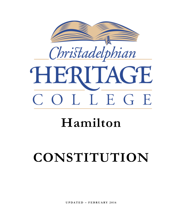

# **Hamilton**

# **CONSTITUTION**

**UPDATED – FEBRUARY 2016**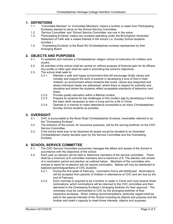# **1. DEFINITIONS**

- 1.1. "Committee Member' or 'Committee Members' means a brother or sister from Participating Ecclesias elected to serve on the School Service Committee.
- 1.2. 'Service Committee' and 'School Service Committee' are one in the same.
- 1.3. 'Participating Ecclesia' means any ecclesia operating under the Birmingham Amended Statement of Faith with a vested interest in the school (i.e. Sunday School students enrolled.)
- 1.4. 'Overseeing Ecclesia' is the Book Rd Christadelphian ecclesia represented by their Arranging Board.

#### **2. OBJECTS AND PURPOSES**

- 2.1. To establish and maintain a Christadelphian religion school of instruction for children and youths.
- 2.2. All activities of the school shall be carried on without purpose of financial gain for its officers. Any profits or other gain shall be used in promoting the school's objectives.
- 2.3. The school shall seek to:
	- 2.3.1. Maintain a safe and happy environment that will encourage Godly values and morality and support the work of parents in developing a love of God in their children; an environment where students feel loved, valued and respected and where individual needs are addressed; where there is respect for authority and discipline and where the students reflect acceptable standards of behaviour and dress.
	- 2.3.2. Provide quality education within a Biblical context.
	- 2.3.3. Prepare its students for the challenges of this modern age by developing in them the basic skills necessary to earn a living and for a life in Christ.
	- 2.3.4. Operate in a manner to make attendance accessible to as many Christadelphian Sunday School students as possible.

# **3. OVERSIGHT**

- 3.1. CHC is accountable to the Book Road Christadelphian Ecclesia, hereinafter referred to as the "Overseeing Ecclesia".
- 3.2. The directors of the school, for insurance purposes, will be the serving brethren on the CHC Service Committee.
- 3.3. If the school were ever to be dissolved all assets would be donated to an Amended Christadelphian charity decided upon by the Service Committee and the Overseeing Ecclesia.

#### **4. SCHOOL SERVICE COMMITTEE**

- 4.1. The CHC Service Committee exclusively manages the affairs and assets of the School in accordance with the objectives of the school.
- 4.2. Each year an election will be held to determine members of the service committee. There shall be a minimum of 6 committee members and a maximum of 8. The election will consist of a nomination period and election as outlined below. Members of the committee who choose to stand for re-election will not require nomination. Ballots will only be distributed to baptized parents/guardians of CHC students.
	- 4.2.1. During the first week of February, nomination forms will distributed. Nominations will be accepted from parents of children in attendance at CHC and are due by the end of February.
	- 4.2.2. Each nominee is required to be a brother or sister in Christ and must receive three nominations; which nominations will be returned to the CHC committee and then delivered to the Overseeing Ecclesia's Arranging brethren for their approval. The nominees must be commended to CHC by the arranging brethren of their respective ecclesias. When making recommendations, particular regard shall be paid to the special interests of the School including its objects and purpose and the brother and sister's capacity to meet those interests, objects and purposes.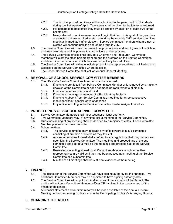- 4.2.3. The list of approved nominees will be submitted to the parents of CHC students during the first week of April. Two weeks shall be given for ballots to be returned.
- 4.2.4. For nominees to hold office they must be chosen by ballot on at least 50% of the ballots cast.
- 4.2.5. Newly elected committee members will begin their term in August of the year they are elected but are required to start attending the monthly CHC service committee meetings immediately after election. Service committee members who are not reelected will continue until the end of their term in July.
- 4.3. The Service Committee will have the power to appoint officers and employees of the School, and may delegate any of its powers to such officers and employees.
- 4.4. The Service Committee offices shall include a Chairman and Treasurer. Committee members will elect the office holders from among the brethren on the Service Committee and determine the periods for which they are respectively to hold office.
- 4.5. The Service Committee will strive to include proportionate representatives of all Participating Ecclesias on the Service Committee where possible.
- 4.6. The School Service Committee shall call an Annual General Meeting.

# **5. REMOVAL OF SCHOOL SERVICE COMMITTEE MEMBERS**

- 5.1. The office of a Service Committee Member shall be removed:
	- 5.1.1. If he/she is prohibited from being a Committee Member or is removed by a majority decision of the Committee or does not meet the requirements of his duty.
	- 5.1.2. If he/she becomes of unsound mind
	- 5.1.3. If he/she is no longer a member of a Participating Ecclesia
	- 5.1.4. If he/she is absent from Service Committee meetings for three consecutive meetings without special leave of absence
	- 5.1.5. If by notice in writing to the Service Committee he/she resigns their office

# **6. PROCEEDINGS OF SCHOOL SERVICE COMMITTEE**

- 6.1. Service Committee Members shall meet together at least quarterly.
- 6.2. Two Committee Members may, at any time, call a meeting of the Service Committee.
- 6.3. Questions arising at any meeting shall be decided by a majority of votes. Each Committee Member present shall have one vote.
- 6.4. Subcommittees
	- 6.4.1. The service committee may delegate any of its powers to a sub-committee consisting of brethren or sisters as they think fit.
	- 6.4.2. Any sub-committee formed shall conform to any regulations that may be imposed upon it by the Service Committee. The meetings and proceedings of the subcommittee shall be governed as the meetings and proceedings of the Service Committee.
	- 6.4.3. Resolutions in writing signed by all Committee Members or subcommittee representatives are valid as if they had been passed at a meeting of the Service Committee or a subcommittee.
	- 6.4.4. Minutes of all meetings shall be sufficient evidence of the meeting

# **7. FINANCE**

- 7.1. The Treasurer of the Service Committee will have signing authority for the finances. Two additional Committee Members may be appointed to have signing authority also.
- 7.2. The Service Committee will appoint an Auditor to audit the accounts of the School. The auditor will not be a Committee Member, officer OR involved in the management of the affairs of the school.
- 7.3. A financial statement and auditors report will be made available at the Annual General Meeting, to the Overseeing Ecclesia and to the Participating Ecclesia's Arranging Boards.

# **8. CHANGING THE RULES**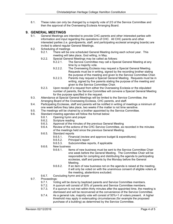8.1. These rules can only be changed by a majority vote of 2/3 of the Service Committee and then the approval of the Overseeing Ecclesia Arranging Board.

# **9. GENERAL MEETINGS**

- 9.1. General Meetings are intended to provide CHC parents and other interested parties with information and input regarding the operations of CHC. All CHC parents and other interested parties (i.e. grandparents, staff, and participating ecclesial arranging boards) are invited to attend regular General Meetings.
- 9.2. Scheduling of meetings
	- 9.2.1. There will be one scheduled General Meeting during each school year. This meeting will take place, God willing, in May.
	- 9.2.2. Special General Meetings may be called as follows:
		- 9.2.2.1. The Service Committee may call a Special General Meeting at any time by a majority vote.
			- 9.2.2.2. The Overseeing Ecclesia may request a Special General Meeting. Requests must be in writing, signed by the recording brother stating the purpose of the meeting and given to the Service Committee Chair.
			- 9.2.2.3. Parents may request a Special General Meeting. Requests must be in writing, signed by five parents stating the purpose of the meeting and given to the Service Committee Chair.
	- 9.2.3. Upon receipt of a request from either the Overseeing Ecclesia or the stipulated number of parents, the Service Committee will convene a Special General Meeting for the purpose specified in the request.
- 9.3. Attendance at Special General Meetings will be limited to the Service Committee, the Arranging Board of the Overseeing Ecclesia, CHC parents, and staff.
- 9.4. Participating Ecclesias, staff and parents will be notified in writing of meetings a minimum of one week before they take place, two weeks if the matter is not time sensitive.
- 9.5. The meetings will be chaired by a brother appointed by the Service Committee.
- 9.6. Standard meeting agendas will follow the format below:
	- 9.6.1. Opening hymn and prayer
	- 9.6.2. Scripture reading
	- 9.6.3. Approval of the minutes of the previous General Meeting
	- 9.6.4. Review of the actions of the CHC Service Committee, as recorded in the minutes of the meetings held since the previous General Meeting.
	- 9.6.5. Standard reports
		- 9.6.5.1. Financial (review and approve budget & expenditures)
		- 9.6.5.2. Principal's report
		- 9.6.5.3. Subcommittee reports, if applicable
	- 9.6.6. New business
		- 9.6.6.1. Items of new business must be sent to the Service Committee Chair one week before the General Meeting. The Committee Chair will be responsible for compiling and distributing the agenda to participating ecclesias, staff and parents by the Monday before the General Meeting.
		- 9.6.6.2. If an item of new business not on the agenda is raised at the meeting, it will only be voted on with the unanimous consent of eligible voters at the meeting, abstentions excluded.
	- 9.6.7. Concluding hymn and prayer
- 9.7. Proceedings:
	- 9.7.1. Voting will be done by baptized parents and Service Committee members.
	- 9.7.2. A quorum will consist of 30% of parents and Service Committee members.
	- 9.7.3. If a quorum is not met within thirty minutes after the appointed time, the meeting is dismissed and will be reconvened at the convenience of the Service Committee.
	- 9.7.4. As a general rule, majority vote will consist of 50%+1 of voters present. A higher threshold may apply in extenuating circumstances (for example the proposed purchase of a building) as determined by the Service Committee.